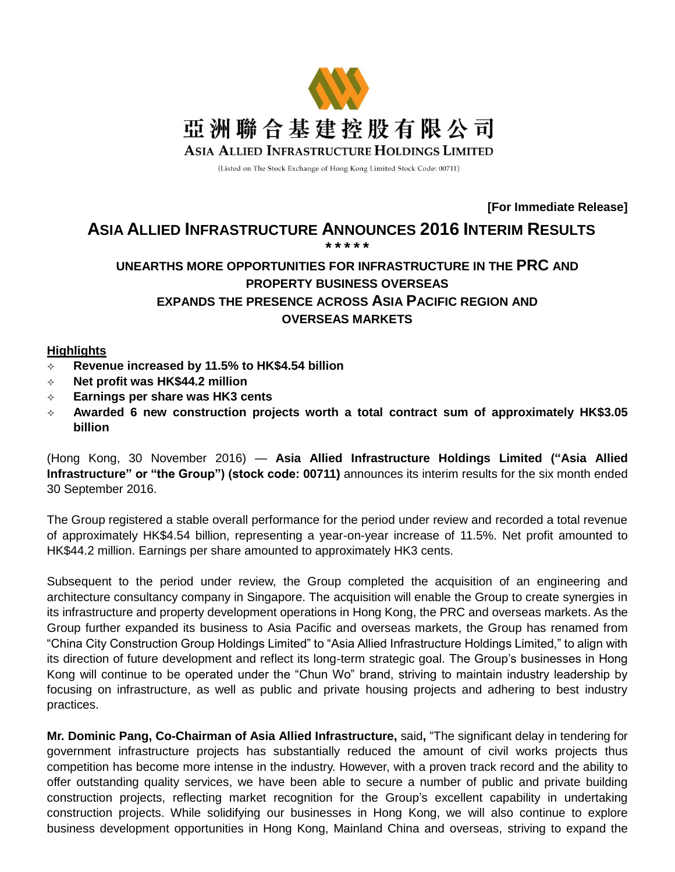

(Listed on The Stock Exchange of Hong Kong Limited Stock Code: 00711)

**[For Immediate Release]**

#### **ASIA ALLIED INFRASTRUCTURE ANNOUNCES 2016 INTERIM RESULTS \* \* \* \* \***

# **UNEARTHS MORE OPPORTUNITIES FOR INFRASTRUCTURE IN THE PRC AND PROPERTY BUSINESS OVERSEAS EXPANDS THE PRESENCE ACROSS ASIA PACIFIC REGION AND OVERSEAS MARKETS**

### **Highlights**

- **Revenue increased by 11.5% to HK\$4.54 billion**
- **Net profit was HK\$44.2 million**
- **Earnings per share was HK3 cents**
- **Awarded 6 new construction projects worth a total contract sum of approximately HK\$3.05 billion**

(Hong Kong, 30 November 2016) — **Asia Allied Infrastructure Holdings Limited ("Asia Allied Infrastructure" or "the Group") (stock code: 00711)** announces its interim results for the six month ended 30 September 2016.

The Group registered a stable overall performance for the period under review and recorded a total revenue of approximately HK\$4.54 billion, representing a year-on-year increase of 11.5%. Net profit amounted to HK\$44.2 million. Earnings per share amounted to approximately HK3 cents.

Subsequent to the period under review, the Group completed the acquisition of an engineering and architecture consultancy company in Singapore. The acquisition will enable the Group to create synergies in its infrastructure and property development operations in Hong Kong, the PRC and overseas markets. As the Group further expanded its business to Asia Pacific and overseas markets, the Group has renamed from "China City Construction Group Holdings Limited" to "Asia Allied Infrastructure Holdings Limited," to align with its direction of future development and reflect its long-term strategic goal. The Group's businesses in Hong Kong will continue to be operated under the "Chun Wo" brand, striving to maintain industry leadership by focusing on infrastructure, as well as public and private housing projects and adhering to best industry practices.

**Mr. Dominic Pang, Co-Chairman of Asia Allied Infrastructure,** said**,** "The significant delay in tendering for government infrastructure projects has substantially reduced the amount of civil works projects thus competition has become more intense in the industry. However, with a proven track record and the ability to offer outstanding quality services, we have been able to secure a number of public and private building construction projects, reflecting market recognition for the Group's excellent capability in undertaking construction projects. While solidifying our businesses in Hong Kong, we will also continue to explore business development opportunities in Hong Kong, Mainland China and overseas, striving to expand the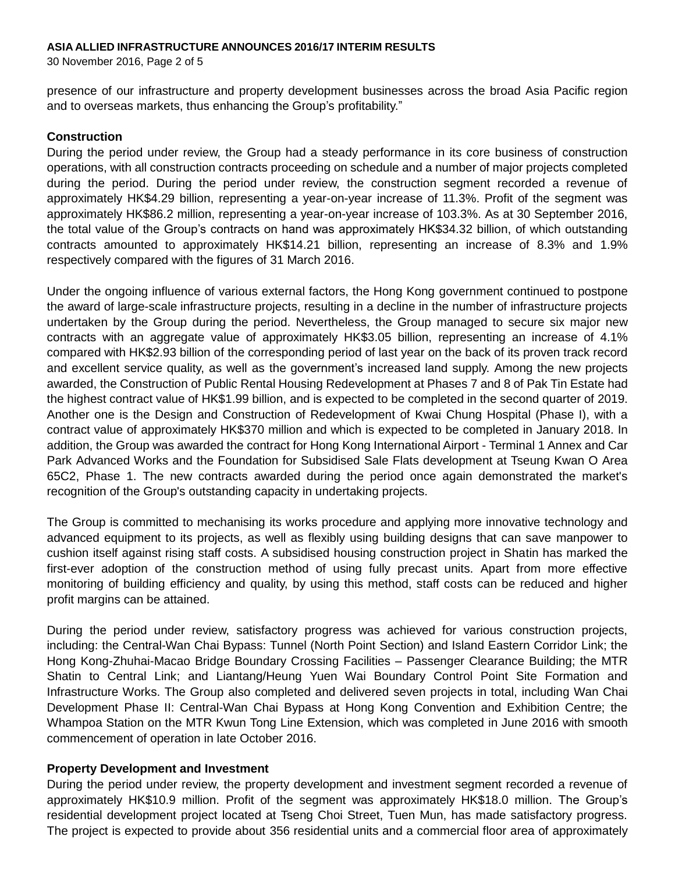30 November 2016, Page 2 of 5

presence of our infrastructure and property development businesses across the broad Asia Pacific region and to overseas markets, thus enhancing the Group's profitability."

### **Construction**

During the period under review, the Group had a steady performance in its core business of construction operations, with all construction contracts proceeding on schedule and a number of major projects completed during the period. During the period under review, the construction segment recorded a revenue of approximately HK\$4.29 billion, representing a year-on-year increase of 11.3%. Profit of the segment was approximately HK\$86.2 million, representing a year-on-year increase of 103.3%. As at 30 September 2016, the total value of the Group's contracts on hand was approximately HK\$34.32 billion, of which outstanding contracts amounted to approximately HK\$14.21 billion, representing an increase of 8.3% and 1.9% respectively compared with the figures of 31 March 2016.

Under the ongoing influence of various external factors, the Hong Kong government continued to postpone the award of large-scale infrastructure projects, resulting in a decline in the number of infrastructure projects undertaken by the Group during the period. Nevertheless, the Group managed to secure six major new contracts with an aggregate value of approximately HK\$3.05 billion, representing an increase of 4.1% compared with HK\$2.93 billion of the corresponding period of last year on the back of its proven track record and excellent service quality, as well as the government's increased land supply. Among the new projects awarded, the Construction of Public Rental Housing Redevelopment at Phases 7 and 8 of Pak Tin Estate had the highest contract value of HK\$1.99 billion, and is expected to be completed in the second quarter of 2019. Another one is the Design and Construction of Redevelopment of Kwai Chung Hospital (Phase I), with a contract value of approximately HK\$370 million and which is expected to be completed in January 2018. In addition, the Group was awarded the contract for Hong Kong International Airport - Terminal 1 Annex and Car Park Advanced Works and the Foundation for Subsidised Sale Flats development at Tseung Kwan O Area 65C2, Phase 1. The new contracts awarded during the period once again demonstrated the market's recognition of the Group's outstanding capacity in undertaking projects.

The Group is committed to mechanising its works procedure and applying more innovative technology and advanced equipment to its projects, as well as flexibly using building designs that can save manpower to cushion itself against rising staff costs. A subsidised housing construction project in Shatin has marked the first-ever adoption of the construction method of using fully precast units. Apart from more effective monitoring of building efficiency and quality, by using this method, staff costs can be reduced and higher profit margins can be attained.

During the period under review, satisfactory progress was achieved for various construction projects, including: the Central-Wan Chai Bypass: Tunnel (North Point Section) and Island Eastern Corridor Link; the Hong Kong-Zhuhai-Macao Bridge Boundary Crossing Facilities – Passenger Clearance Building; the MTR Shatin to Central Link; and Liantang/Heung Yuen Wai Boundary Control Point Site Formation and Infrastructure Works. The Group also completed and delivered seven projects in total, including Wan Chai Development Phase II: Central-Wan Chai Bypass at Hong Kong Convention and Exhibition Centre; the Whampoa Station on the MTR Kwun Tong Line Extension, which was completed in June 2016 with smooth commencement of operation in late October 2016.

### **Property Development and Investment**

During the period under review, the property development and investment segment recorded a revenue of approximately HK\$10.9 million. Profit of the segment was approximately HK\$18.0 million. The Group's residential development project located at Tseng Choi Street, Tuen Mun, has made satisfactory progress. The project is expected to provide about 356 residential units and a commercial floor area of approximately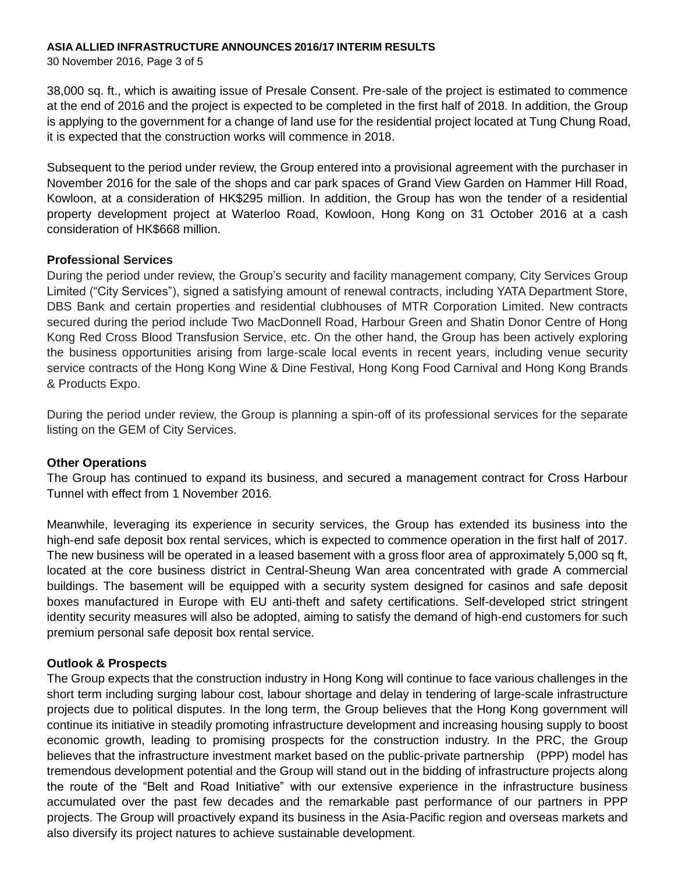30 November 2016, Page 3 of 5

38,000 sq. ft., which is awaiting issue of Presale Consent. Pre-sale of the project is estimated to commence at the end of 2016 and the project is expected to be completed in the first half of 2018. In addition, the Group is applying to the government for a change of land use for the residential project located at Tung Chung Road, it is expected that the construction works will commence in 2018.

Subsequent to the period under review, the Group entered into a provisional agreement with the purchaser in November 2016 for the sale of the shops and car park spaces of Grand View Garden on Hammer Hill Road, Kowloon, at a consideration of HK\$295 million. In addition, the Group has won the tender of a residential property development project at Waterloo Road, Kowloon, Hong Kong on 31 October 2016 at a cash consideration of HK\$668 million.

### **Professional Services**

During the period under review, the Group's security and facility management company, City Services Group Limited ("City Services"), signed a satisfying amount of renewal contracts, including YATA Department Store, DBS Bank and certain properties and residential clubhouses of MTR Corporation Limited. New contracts secured during the period include Two MacDonnell Road, Harbour Green and Shatin Donor Centre of Hong Kong Red Cross Blood Transfusion Service, etc. On the other hand, the Group has been actively exploring the business opportunities arising from large-scale local events in recent years, including venue security service contracts of the Hong Kong Wine & Dine Festival, Hong Kong Food Carnival and Hong Kong Brands & Products Expo.

During the period under review, the Group is planning a spin-off of its professional services for the separate listing on the GEM of City Services.

### **Other Operations**

The Group has continued to expand its business, and secured a management contract for Cross Harbour Tunnel with effect from 1 November 2016.

Meanwhile, leveraging its experience in security services, the Group has extended its business into the high-end safe deposit box rental services, which is expected to commence operation in the first half of 2017. The new business will be operated in a leased basement with a gross floor area of approximately 5,000 sq ft, located at the core business district in Central-Sheung Wan area concentrated with grade A commercial buildings. The basement will be equipped with a security system designed for casinos and safe deposit boxes manufactured in Europe with EU anti-theft and safety certifications. Self-developed strict stringent identity security measures will also be adopted, aiming to satisfy the demand of high-end customers for such premium personal safe deposit box rental service.

### **Outlook & Prospects**

The Group expects that the construction industry in Hong Kong will continue to face various challenges in the short term including surging labour cost, labour shortage and delay in tendering of large-scale infrastructure projects due to political disputes. In the long term, the Group believes that the Hong Kong government will continue its initiative in steadily promoting infrastructure development and increasing housing supply to boost economic growth, leading to promising prospects for the construction industry. In the PRC, the Group believes that the infrastructure investment market based on the public-private partnership (PPP) model has tremendous development potential and the Group will stand out in the bidding of infrastructure projects along the route of the "Belt and Road Initiative" with our extensive experience in the infrastructure business accumulated over the past few decades and the remarkable past performance of our partners in PPP projects. The Group will proactively expand its business in the Asia-Pacific region and overseas markets and also diversify its project natures to achieve sustainable development.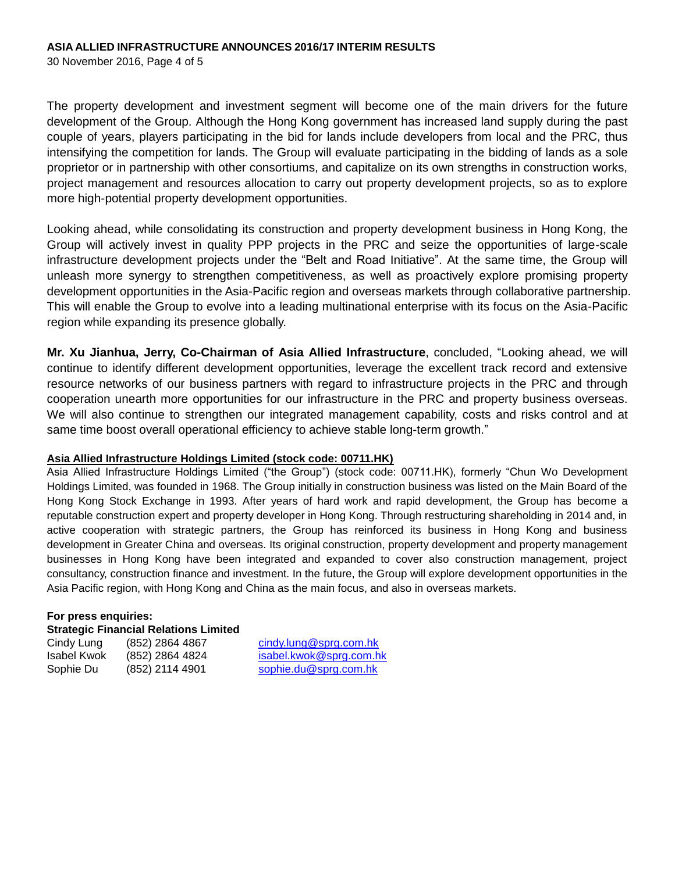30 November 2016, Page 4 of 5

The property development and investment segment will become one of the main drivers for the future development of the Group. Although the Hong Kong government has increased land supply during the past couple of years, players participating in the bid for lands include developers from local and the PRC, thus intensifying the competition for lands. The Group will evaluate participating in the bidding of lands as a sole proprietor or in partnership with other consortiums, and capitalize on its own strengths in construction works, project management and resources allocation to carry out property development projects, so as to explore more high-potential property development opportunities.

Looking ahead, while consolidating its construction and property development business in Hong Kong, the Group will actively invest in quality PPP projects in the PRC and seize the opportunities of large-scale infrastructure development projects under the "Belt and Road Initiative". At the same time, the Group will unleash more synergy to strengthen competitiveness, as well as proactively explore promising property development opportunities in the Asia-Pacific region and overseas markets through collaborative partnership. This will enable the Group to evolve into a leading multinational enterprise with its focus on the Asia-Pacific region while expanding its presence globally.

**Mr. Xu Jianhua, Jerry, Co-Chairman of Asia Allied Infrastructure**, concluded, "Looking ahead, we will continue to identify different development opportunities, leverage the excellent track record and extensive resource networks of our business partners with regard to infrastructure projects in the PRC and through cooperation unearth more opportunities for our infrastructure in the PRC and property business overseas. We will also continue to strengthen our integrated management capability, costs and risks control and at same time boost overall operational efficiency to achieve stable long-term growth."

### **Asia Allied Infrastructure Holdings Limited (stock code: 00711.HK)**

Asia Allied Infrastructure Holdings Limited ("the Group") (stock code: 00711.HK), formerly "Chun Wo Development Holdings Limited, was founded in 1968. The Group initially in construction business was listed on the Main Board of the Hong Kong Stock Exchange in 1993. After years of hard work and rapid development, the Group has become a reputable construction expert and property developer in Hong Kong. Through restructuring shareholding in 2014 and, in active cooperation with strategic partners, the Group has reinforced its business in Hong Kong and business development in Greater China and overseas. Its original construction, property development and property management businesses in Hong Kong have been integrated and expanded to cover also construction management, project consultancy, construction finance and investment. In the future, the Group will explore development opportunities in the Asia Pacific region, with Hong Kong and China as the main focus, and also in overseas markets.

#### **For press enquiries: Strategic Financial Relations Limited**

Cindy Lung (852) 2864 4867 cindy.lung@sprg.com.hk Isabel Kwok (852) 2864 4824 isabel.kwok@sprg.com.hk Sophie Du (852) 2114 4901 [sophie.du@sprg.com.hk](mailto:sophie.du@sprg.com.hk)